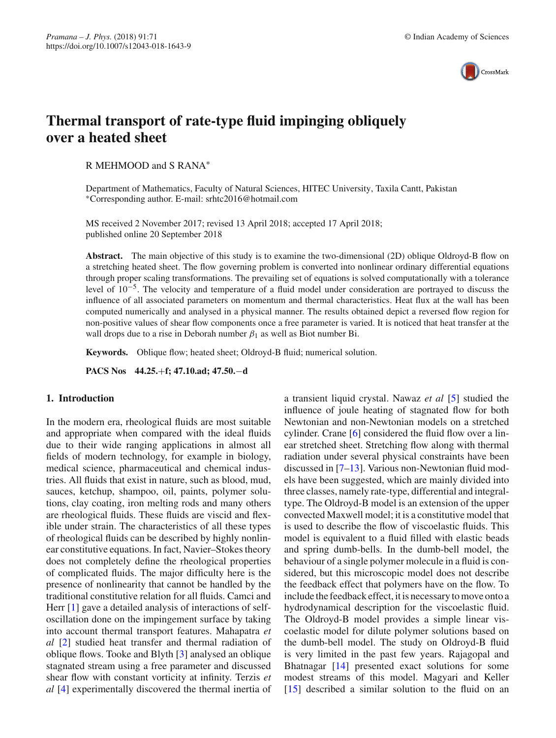

# **Thermal transport of rate-type fluid impinging obliquely over a heated sheet**

R MEHMOOD and S RANA∗

Department of Mathematics, Faculty of Natural Sciences, HITEC University, Taxila Cantt, Pakistan ∗Corresponding author. E-mail: srhtc2016@hotmail.com

MS received 2 November 2017; revised 13 April 2018; accepted 17 April 2018; published online 20 September 2018

**Abstract.** The main objective of this study is to examine the two-dimensional (2D) oblique Oldroyd-B flow on a stretching heated sheet. The flow governing problem is converted into nonlinear ordinary differential equations through proper scaling transformations. The prevailing set of equations is solved computationally with a tolerance level of 10−5. The velocity and temperature of a fluid model under consideration are portrayed to discuss the influence of all associated parameters on momentum and thermal characteristics. Heat flux at the wall has been computed numerically and analysed in a physical manner. The results obtained depict a reversed flow region for non-positive values of shear flow components once a free parameter is varied. It is noticed that heat transfer at the wall drops due to a rise in Deborah number  $\beta_1$  as well as Biot number Bi.

**Keywords.** Oblique flow; heated sheet; Oldroyd-B fluid; numerical solution.

**PACS Nos 44.25.**+**f; 47.10.ad; 47.50.**−**d**

## **1. Introduction**

In the modern era, rheological fluids are most suitable and appropriate when compared with the ideal fluids due to their wide ranging applications in almost all fields of modern technology, for example in biology, medical science, pharmaceutical and chemical industries. All fluids that exist in nature, such as blood, mud, sauces, ketchup, shampoo, oil, paints, polymer solutions, clay coating, iron melting rods and many others are rheological fluids. These fluids are viscid and flexible under strain. The characteristics of all these types of rheological fluids can be described by highly nonlinear constitutive equations. In fact, Navier–Stokes theory does not completely define the rheological properties of complicated fluids. The major difficulty here is the presence of nonlinearity that cannot be handled by the traditional constitutive relation for all fluids. Camci and Herr [\[1](#page-8-0)] gave a detailed analysis of interactions of selfoscillation done on the impingement surface by taking into account thermal transport features. Mahapatra *et al* [\[2](#page-8-1)] studied heat transfer and thermal radiation of oblique flows. Tooke and Blyth [\[3\]](#page-8-2) analysed an oblique stagnated stream using a free parameter and discussed shear flow with constant vorticity at infinity. Terzis *et al* [\[4\]](#page-8-3) experimentally discovered the thermal inertia of a transient liquid crystal. Nawaz *et al* [\[5\]](#page-8-4) studied the influence of joule heating of stagnated flow for both Newtonian and non-Newtonian models on a stretched cylinder. Crane [\[6](#page-8-5)] considered the fluid flow over a linear stretched sheet. Stretching flow along with thermal radiation under several physical constraints have been discussed in [\[7](#page-8-6)[–13](#page-8-7)]. Various non-Newtonian fluid models have been suggested, which are mainly divided into three classes, namely rate-type, differential and integraltype. The Oldroyd-B model is an extension of the upper convected Maxwell model; it is a constitutive model that is used to describe the flow of viscoelastic fluids. This model is equivalent to a fluid filled with elastic beads and spring dumb-bells. In the dumb-bell model, the behaviour of a single polymer molecule in a fluid is considered, but this microscopic model does not describe the feedback effect that polymers have on the flow. To include the feedback effect, it is necessary to move onto a hydrodynamical description for the viscoelastic fluid. The Oldroyd-B model provides a simple linear viscoelastic model for dilute polymer solutions based on the dumb-bell model. The study on Oldroyd-B fluid is very limited in the past few years. Rajagopal and Bhatnagar [\[14](#page-8-8)] presented exact solutions for some modest streams of this model. Magyari and Keller [\[15](#page-8-9)] described a similar solution to the fluid on an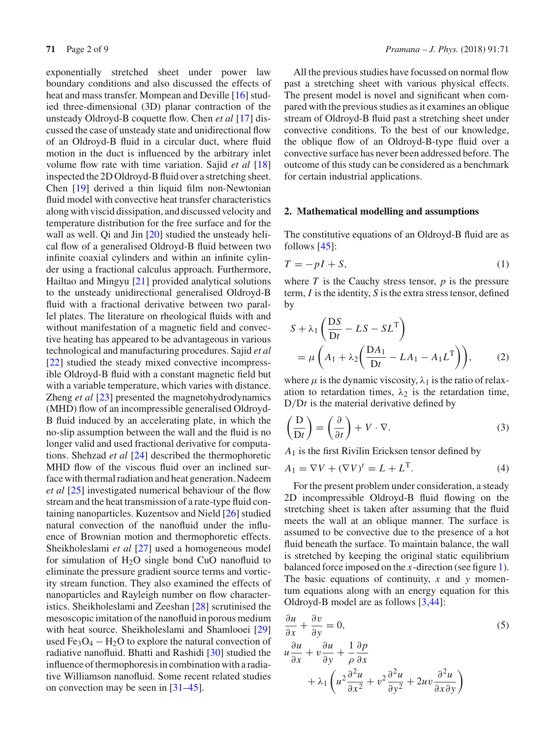exponentially stretched sheet under power law boundary conditions and also discussed the effects of heat and mass transfer. Mompean and Deville [\[16\]](#page-8-10) studied three-dimensional (3D) planar contraction of the unsteady Oldroyd-B coquette flow. Chen *et al* [\[17\]](#page-8-11) discussed the case of unsteady state and unidirectional flow of an Oldroyd-B fluid in a circular duct, where fluid motion in the duct is influenced by the arbitrary inlet volume flow rate with time variation. Sajid *et al* [\[18\]](#page-8-12) inspected the 2D Oldroyd-B fluid over a stretching sheet. Chen [\[19](#page-8-13)] derived a thin liquid film non-Newtonian fluid model with convective heat transfer characteristics along with viscid dissipation, and discussed velocity and temperature distribution for the free surface and for the wall as well. Qi and Jin [\[20\]](#page-8-14) studied the unsteady helical flow of a generalised Oldroyd-B fluid between two infinite coaxial cylinders and within an infinite cylinder using a fractional calculus approach. Furthermore, Hailtao and Mingyu [\[21](#page-8-15)] provided analytical solutions to the unsteady unidirectional generalised Oldroyd-B fluid with a fractional derivative between two parallel plates. The literature on rheological fluids with and without manifestation of a magnetic field and convective heating has appeared to be advantageous in various technological and manufacturing procedures. Sajid *et al* [\[22](#page-8-16)] studied the steady mixed convective incompressible Oldroyd-B fluid with a constant magnetic field but with a variable temperature, which varies with distance. Zheng *et al* [\[23](#page-8-17)] presented the magnetohydrodynamics (MHD) flow of an incompressible generalised Oldroyd-B fluid induced by an accelerating plate, in which the no-slip assumption between the wall and the fluid is no longer valid and used fractional derivative for computations. Shehzad *et al* [\[24\]](#page-8-18) described the thermophoretic MHD flow of the viscous fluid over an inclined surface with thermal radiation and heat generation. Nadeem *et al* [\[25\]](#page-8-19) investigated numerical behaviour of the flow stream and the heat transmission of a rate-type fluid containing nanoparticles. Kuzentsov and Nield [\[26\]](#page-8-20) studied natural convection of the nanofluid under the influence of Brownian motion and thermophoretic effects. Sheikholeslami *et al* [\[27](#page-8-21)] used a homogeneous model for simulation of  $H<sub>2</sub>O$  single bond CuO nanofluid to eliminate the pressure gradient source terms and vorticity stream function. They also examined the effects of nanoparticles and Rayleigh number on flow characteristics. Sheikholeslami and Zeeshan [\[28](#page-8-22)] scrutinised the mesoscopic imitation of the nanofluid in porous medium with heat source. Sheikholeslami and Shamlooei [\[29\]](#page-8-23) used Fe<sub>3</sub>O<sub>4</sub> − H<sub>2</sub>O to explore the natural convection of radiative nanofluid. Bhatti and Rashidi [\[30](#page-8-24)] studied the influence of thermophoresis in combination with a radiative Williamson nanofluid. Some recent related studies on convection may be seen in [\[31](#page-8-25)[–45\]](#page-8-26).

All the previous studies have focussed on normal flow past a stretching sheet with various physical effects. The present model is novel and significant when compared with the previous studies as it examines an oblique stream of Oldroyd-B fluid past a stretching sheet under convective conditions. To the best of our knowledge, the oblique flow of an Oldroyd-B-type fluid over a convective surface has never been addressed before. The outcome of this study can be considered as a benchmark for certain industrial applications.

#### **2. Mathematical modelling and assumptions**

The constitutive equations of an Oldroyd-B fluid are as follows  $[45]$ :

$$
T = -pI + S,\t\t(1)
$$

where  $T$  is the Cauchy stress tensor,  $p$  is the pressure term, *I* is the identity, *S* is the extra stress tensor, defined by

$$
S + \lambda_1 \left( \frac{\mathbf{D}S}{\mathbf{D}t} - LS - SL^{\mathrm{T}} \right)
$$
  
=  $\mu \left( A_1 + \lambda_2 \left( \frac{\mathbf{D}A_1}{\mathbf{D}t} - LA_1 - A_1 L^{\mathrm{T}} \right) \right),$  (2)

where  $\mu$  is the dynamic viscosity,  $\lambda_1$  is the ratio of relaxation to retardation times,  $\lambda_2$  is the retardation time, D/Dt is the material derivative defined by

$$
\left(\frac{\mathbf{D}}{\mathbf{D}t}\right) = \left(\frac{\partial}{\partial t}\right) + V \cdot \nabla. \tag{3}
$$

*A*<sup>1</sup> is the first Rivilin Ericksen tensor defined by

$$
A_1 = \nabla V + (\nabla V)^t = L + L^{\mathrm{T}}.
$$
 (4)

For the present problem under consideration, a steady 2D incompressible Oldroyd-B fluid flowing on the stretching sheet is taken after assuming that the fluid meets the wall at an oblique manner. The surface is assumed to be convective due to the presence of a hot fluid beneath the surface. To maintain balance, the wall is stretched by keeping the original static equilibrium balanced force imposed on the *x*-direction (see figure [1\)](#page-2-0). The basic equations of continuity, *x* and *y* momentum equations along with an energy equation for this Oldroyd-B model are as follows [\[3](#page-8-2)[,44](#page-8-27)]:

<span id="page-1-0"></span>
$$
\frac{\partial u}{\partial x} + \frac{\partial v}{\partial y} = 0,
$$
\n
$$
u \frac{\partial u}{\partial x} + v \frac{\partial u}{\partial y} + \frac{1}{\rho} \frac{\partial p}{\partial x} + \lambda_1 \left( u^2 \frac{\partial^2 u}{\partial x^2} + v^2 \frac{\partial^2 u}{\partial y^2} + 2uv \frac{\partial^2 u}{\partial x \partial y} \right)
$$
\n(5)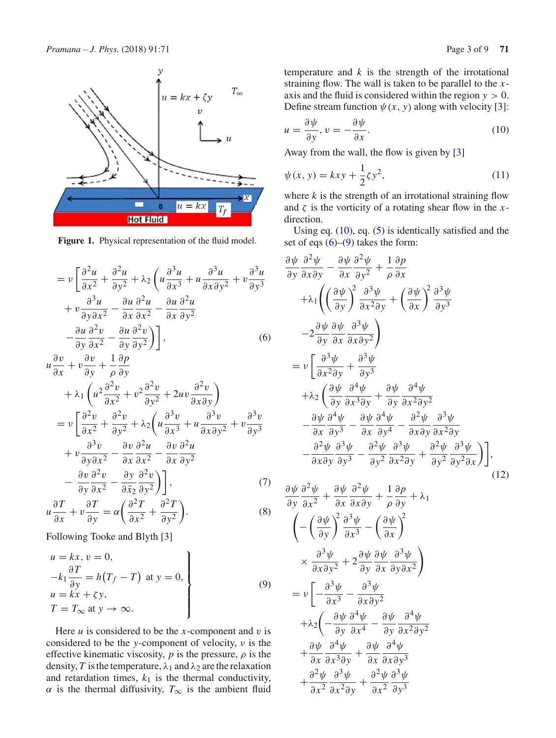

<span id="page-2-0"></span>Figure 1. Physical representation of the fluid model.

$$
= \nu \left[ \frac{\partial^2 u}{\partial x^2} + \frac{\partial^2 u}{\partial y^2} + \lambda_2 \left( u \frac{\partial^3 u}{\partial x^3} + u \frac{\partial^3 u}{\partial x \partial y^2} + v \frac{\partial^3 u}{\partial y^3} + v \frac{\partial^3 u}{\partial y \partial x^2} - \frac{\partial u}{\partial x} \frac{\partial^2 u}{\partial x^2} - \frac{\partial u}{\partial x} \frac{\partial^2 u}{\partial y^2} - \frac{\partial u}{\partial y} \frac{\partial^2 v}{\partial x^2} - \frac{\partial u}{\partial y} \frac{\partial^2 v}{\partial y^2} \right) \right],
$$
\n
$$
\frac{\partial u}{\partial v} \frac{\partial^2 v}{\partial x^2} - \frac{\partial u}{\partial y} \frac{\partial^2 v}{\partial y^2} \Bigg), \tag{6}
$$
\n
$$
\frac{\partial v}{\partial v} = \frac{\partial v}{\partial v} \frac{1}{\partial p} \frac{\partial^2 v}{\partial x^2} + \frac{\partial u}{\partial p} \frac{\partial^2 v}{\partial y^2} \Bigg),
$$

$$
u\frac{\partial}{\partial x} + v\frac{\partial}{\partial y} + \frac{\partial}{\partial y}\frac{\partial}{\partial y}
$$
  
+  $\lambda_1 \left( u^2 \frac{\partial^2 v}{\partial x^2} + v^2 \frac{\partial^2 v}{\partial y^2} + 2uv \frac{\partial^2 v}{\partial x \partial y} \right)$   
=  $v \left[ \frac{\partial^2 v}{\partial x^2} + \frac{\partial^2 v}{\partial y^2} + \lambda_2 \left( u \frac{\partial^3 v}{\partial x^3} + u \frac{\partial^3 v}{\partial x \partial y^2} + v \frac{\partial^3 v}{\partial y^3} + v \frac{\partial^3 v}{\partial y \partial x^2} - \frac{\partial v}{\partial x} \frac{\partial^2 u}{\partial x^2} - \frac{\partial v}{\partial x} \frac{\partial^2 u}{\partial y^2} - \frac{\partial v}{\partial x} \frac{\partial^2 u}{\partial y^2} - \frac{\partial v}{\partial y} \frac{\partial^2 v}{\partial x^2} - \frac{\partial y}{\partial x \partial y^2} \right) \right],$  (7)

$$
u\frac{\partial T}{\partial x} + v\frac{\partial T}{\partial y} = \alpha \left(\frac{\partial^2 T}{\partial x^2} + \frac{\partial^2 T}{\partial y^2}\right).
$$
 (8)

Following Tooke and Blyth [\[3](#page-8-2)]

<span id="page-2-3"></span>
$$
u = kx, v = 0,
$$
  
\n
$$
-k_1 \frac{\partial T}{\partial y} = h(T_f - T) \text{ at } y = 0,
$$
  
\n
$$
u = kx + \zeta y,
$$
  
\n
$$
T = T_{\infty} \text{ at } y \to \infty.
$$
\n(9)

Here  $u$  is considered to be the  $x$ -component and  $v$  is considered to be the *y*-component of velocity, ν is the effective kinematic viscosity,  $p$  is the pressure,  $\rho$  is the density, *T* is the temperature,  $\lambda_1$  and  $\lambda_2$  are the relaxation and retardation times,  $k_1$  is the thermal conductivity,  $\alpha$  is the thermal diffusivity,  $T_{\infty}$  is the ambient fluid

temperature and  $k$  is the strength of the irrotational straining flow. The wall is taken to be parallel to the *x*axis and the fluid is considered within the region  $y > 0$ . Define stream function  $\psi(x, y)$  along with velocity [\[3\]](#page-8-2):

<span id="page-2-1"></span>
$$
u = \frac{\partial \psi}{\partial y}, v = -\frac{\partial \psi}{\partial x}.
$$
 (10)

Away from the wall, the flow is given by [\[3](#page-8-2)]

$$
\psi(x, y) = kxy + \frac{1}{2}\zeta y^2,\tag{11}
$$

where  $k$  is the strength of an irrotational straining flow and  $\zeta$  is the vorticity of a rotating shear flow in the *x*direction.

Using eq.  $(10)$ , eq.  $(5)$  is identically satisfied and the set of eqs [\(6\)](#page-2-2)–[\(9\)](#page-2-3) takes the form:

<span id="page-2-2"></span>
$$
\frac{\partial \psi}{\partial y} \frac{\partial^2 \psi}{\partial x \partial y} - \frac{\partial \psi}{\partial x} \frac{\partial^2 \psi}{\partial y^2} + \frac{1}{\rho} \frac{\partial p}{\partial x} \n+ \lambda_1 \left( \left( \frac{\partial \psi}{\partial y} \right)^2 \frac{\partial^3 \psi}{\partial x^2 \partial y} + \left( \frac{\partial \psi}{\partial x} \right)^2 \frac{\partial^3 \psi}{\partial y^3} \n- 2 \frac{\partial \psi}{\partial y} \frac{\partial \psi}{\partial x} \frac{\partial^3 \psi}{\partial x \partial y^2} \right) \n= \nu \left[ \frac{\partial^3 \psi}{\partial x^2 \partial y} + \frac{\partial^3 \psi}{\partial y^3} \n+ \lambda_2 \left( \frac{\partial \psi}{\partial y} \frac{\partial^4 \psi}{\partial x^3 \partial y} + \frac{\partial \psi}{\partial y} \frac{\partial^4 \psi}{\partial x^2 \partial y^2} \n- \frac{\partial \psi}{\partial x} \frac{\partial^4 \psi}{\partial y^3} - \frac{\partial \psi}{\partial x} \frac{\partial^4 \psi}{\partial y^4} - \frac{\partial^2 \psi}{\partial x \partial y} \frac{\partial^3 \psi}{\partial x^2 \partial y} \n- \frac{\partial^2 \psi}{\partial x \partial y} \frac{\partial^3 \psi}{\partial y^3} - \frac{\partial^2 \psi}{\partial y^2} \frac{\partial^3 \psi}{\partial x^2 \partial y} + \frac{\partial^2 \psi}{\partial y^2} \frac{\partial^3 \psi}{\partial y^2 \partial x} \right) \Bigg], \tag{12}
$$

$$
\frac{\partial \psi}{\partial y} \frac{\partial^2 \psi}{\partial x^2} + \frac{\partial \psi}{\partial x} \frac{\partial^2 \psi}{\partial x \partial y} + \frac{1}{\rho} \frac{\partial p}{\partial y} + \lambda_1
$$
\n
$$
\left( -\left( \frac{\partial \psi}{\partial y} \right)^2 \frac{\partial^3 \psi}{\partial x^3} - \left( \frac{\partial \psi}{\partial x} \right)^2
$$
\n
$$
\times \frac{\partial^3 \psi}{\partial x \partial y^2} + 2 \frac{\partial \psi}{\partial y} \frac{\partial \psi}{\partial x} \frac{\partial^3 \psi}{\partial y \partial x^2} \right)
$$
\n
$$
= \nu \left[ -\frac{\partial^3 \psi}{\partial x^3} - \frac{\partial^3 \psi}{\partial x \partial y^2} + \lambda_2 \left( -\frac{\partial \psi}{\partial y} \frac{\partial^4 \psi}{\partial x^4} - \frac{\partial \psi}{\partial y} \frac{\partial^4 \psi}{\partial x^2 \partial y^2} + \frac{\partial \psi}{\partial x} \frac{\partial^4 \psi}{\partial x \partial y \partial x^3} + \frac{\partial \psi}{\partial x} \frac{\partial^4 \psi}{\partial x \partial y \partial x \partial y^3} + \frac{\partial^2 \psi}{\partial x^2} \frac{\partial^3 \psi}{\partial x^2 \partial y} + \frac{\partial^2 \psi}{\partial x^2} \frac{\partial^3 \psi}{\partial y^3} \right]
$$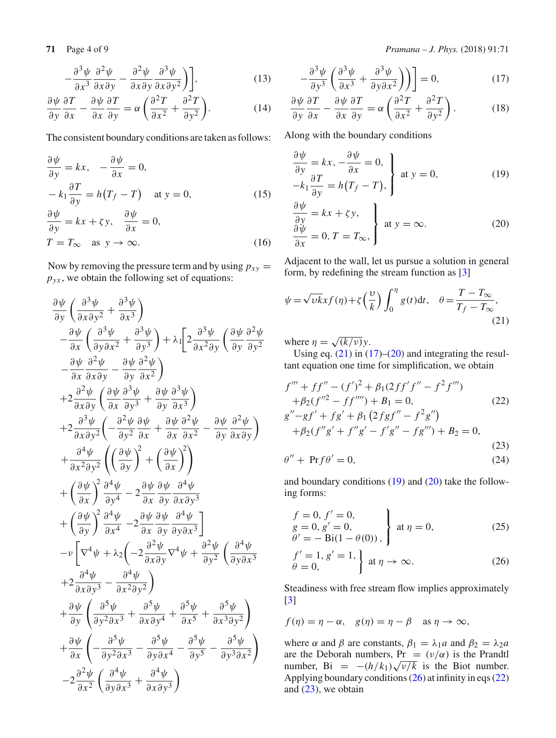$$
-\frac{\partial^3 \psi}{\partial x^3} \frac{\partial^2 \psi}{\partial x \partial y} - \frac{\partial^2 \psi}{\partial x \partial y} \frac{\partial^3 \psi}{\partial x \partial y^2} \bigg) \bigg],
$$
 (13)

$$
\frac{\partial \psi}{\partial y} \frac{\partial T}{\partial x} - \frac{\partial \psi}{\partial x} \frac{\partial T}{\partial y} = \alpha \left( \frac{\partial^2 T}{\partial x^2} + \frac{\partial^2 T}{\partial y^2} \right).
$$
 (14)

The consistent boundary conditions are taken as follows:

$$
\frac{\partial \psi}{\partial y} = kx, \quad -\frac{\partial \psi}{\partial x} = 0,
$$
  
\n
$$
-k_1 \frac{\partial T}{\partial y} = h(T_f - T) \quad \text{at } y = 0,
$$
  
\n
$$
\frac{\partial \psi}{\partial y} = kx + \zeta y, \quad \frac{\partial \psi}{\partial x} = 0,
$$
  
\n
$$
T = T_{\infty} \quad \text{as } y \to \infty.
$$
  
\n(16)

Now by removing the pressure term and by using  $p_{xy}$  =  $p_{yx}$ , we obtain the following set of equations:

<span id="page-3-1"></span>
$$
\frac{\partial \psi}{\partial y} \left( \frac{\partial^3 \psi}{\partial x \partial y^2} + \frac{\partial^3 \psi}{\partial x^3} \right) \n- \frac{\partial \psi}{\partial x} \left( \frac{\partial^3 \psi}{\partial y \partial x^2} + \frac{\partial^3 \psi}{\partial y^3} \right) + \lambda_1 \left[ 2 \frac{\partial^3 \psi}{\partial x^2 \partial y} \left( \frac{\partial \psi}{\partial y} \frac{\partial^2 \psi}{\partial y^2} \right) \n+ 2 \frac{\partial^2 \psi}{\partial x \partial y} \left( \frac{\partial \psi}{\partial x} \frac{\partial^3 \psi}{\partial y^3} + \frac{\partial \psi}{\partial y} \frac{\partial^3 \psi}{\partial x^3} \right) \n+ 2 \frac{\partial^2 \psi}{\partial x \partial y} \left( \frac{\partial \psi}{\partial x} \frac{\partial^3 \psi}{\partial y^3} + \frac{\partial \psi}{\partial y} \frac{\partial^3 \psi}{\partial x^3} \right) \n+ 2 \frac{\partial^3 \psi}{\partial x \partial y^2} \left( -\frac{\partial^2 \psi}{\partial y^2} \frac{\partial \psi}{\partial x} + \frac{\partial \psi}{\partial x} \frac{\partial^2 \psi}{\partial x^2} - \frac{\partial \psi}{\partial y} \frac{\partial^2 \psi}{\partial x \partial y} \right) \n+ \frac{\partial^4 \psi}{\partial x^2 \partial y^2} \left( \left( \frac{\partial \psi}{\partial y} \right)^2 + \left( \frac{\partial \psi}{\partial x} \right)^2 \right) \n+ \left( \frac{\partial \psi}{\partial x} \right)^2 \frac{\partial^4 \psi}{\partial y^4} - 2 \frac{\partial \psi}{\partial x} \frac{\partial \psi}{\partial y} \frac{\partial^4 \psi}{\partial y \partial x^3} \n+ \left( \frac{\partial \psi}{\partial y} \right)^2 \frac{\partial^4 \psi}{\partial x^4} - 2 \frac{\partial \psi}{\partial x} \frac{\partial \psi}{\partial y} \frac{\partial^4 \psi}{\partial y \partial x^3} \n- \nu \left[ \nabla^4 \psi + \lambda_2 \left( -2 \frac{\partial^2 \psi}{\partial x \partial y} \nabla^4 \psi + \frac{\partial^2 \psi}{\partial y^2} \left( \frac{\partial^4 \psi}{\partial y \partial x
$$

**71** Page 4 of 9 *Pramana – J. Phys.* (2018) 91:71

$$
-\frac{\partial^3 \psi}{\partial y^3} \left( \frac{\partial^3 \psi}{\partial x^3} + \frac{\partial^3 \psi}{\partial y \partial x^2} \right) \bigg) = 0, \tag{17}
$$

$$
\frac{\partial \psi}{\partial y} \frac{\partial T}{\partial x} - \frac{\partial \psi}{\partial x} \frac{\partial T}{\partial y} = \alpha \left( \frac{\partial^2 T}{\partial x^2} + \frac{\partial^2 T}{\partial y^2} \right).
$$
 (18)

Along with the boundary conditions

<span id="page-3-2"></span>
$$
\begin{aligned}\n\frac{\partial \psi}{\partial y} &= kx, -\frac{\partial \psi}{\partial x} = 0, \\
-k_1 \frac{\partial T}{\partial y} &= h(T_f - T),\n\end{aligned}\n\quad \text{at } y = 0,
$$
\n(19)

$$
\begin{aligned}\n\frac{\partial \psi}{\partial y} &= kx + \zeta y, \\
\frac{\partial \psi}{\partial x} &= 0, T = T_{\infty},\n\end{aligned}\n\quad \text{at } y = \infty.
$$
\n(20)

Adjacent to the wall, let us pursue a solution in general form, by redefining the stream function as [\[3\]](#page-8-2)

<span id="page-3-0"></span>
$$
\psi = \sqrt{\nu k} x f(\eta) + \zeta \left(\frac{\nu}{k}\right) \int_0^{\eta} g(t) dt, \quad \theta = \frac{T - T_{\infty}}{T_f - T_{\infty}},\tag{21}
$$

where  $\eta = \sqrt{\frac{k}{v}}$ *y*.

Using eq.  $(21)$  in  $(17)$ – $(20)$  and integrating the resultant equation one time for simplification, we obtain

<span id="page-3-4"></span>
$$
f''' + ff'' - (f')^{2} + \beta_{1}(2ff'f'' - f^{2}f''')
$$
  
+ $\beta_{2}(f''^{2} - ff'''') + B_{1} = 0,$  (22)  

$$
g'' - gf' + fg' + \beta_{1}(2fgf'' - f^{2}g'')
$$
  
+ $\beta_{2}(f''g' + f''g' - f'g'' - fg''') + B_{2} = 0,$  (23)

$$
\theta'' + \Pr f \theta' = 0,\tag{24}
$$

and boundary conditions  $(19)$  and  $(20)$  take the following forms:

<span id="page-3-3"></span>
$$
\begin{aligned}\nf &= 0, f' = 0, \\
g &= 0, g' = 0, \\
\theta' &= -\text{Bi}(1 - \theta(0)),\n\end{aligned}\n\quad \text{at } \eta = 0,
$$
\n(25)

$$
\begin{aligned}\nf' &= 1, g' = 1, \\
\theta &= 0,\n\end{aligned}\n\quad \text{at } \eta \to \infty.
$$
\n(26)

Steadiness with free stream flow implies approximately [\[3\]](#page-8-2)

$$
f(\eta) = \eta - \alpha
$$
,  $g(\eta) = \eta - \beta$  as  $\eta \to \infty$ ,

where  $\alpha$  and  $\beta$  are constants,  $\beta_1 = \lambda_1 a$  and  $\beta_2 = \lambda_2 a$ are the Deborah numbers,  $Pr = (v/\alpha)$  is the Prandtl number, Bi =  $-(h/k_1)\sqrt{\nu/k}$  is the Biot number. Applying boundary conditions [\(26\)](#page-3-3) at infinity in eqs [\(22\)](#page-3-4) and  $(23)$ , we obtain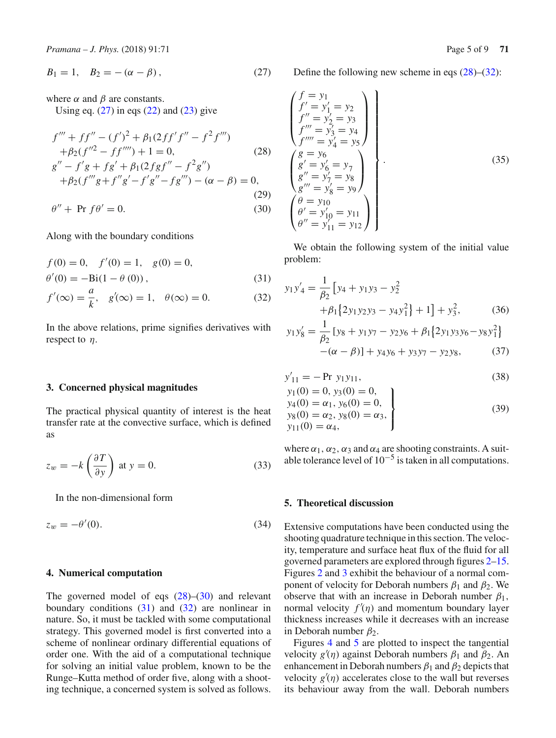*Pramana – J. Phys.* (2018) 91:71 Page 5 of 9 **71** 

<span id="page-4-0"></span>
$$
B_1 = 1, \quad B_2 = -(\alpha - \beta), \tag{27}
$$

where  $\alpha$  and  $\beta$  are constants.

Using eq.  $(27)$  in eqs  $(22)$  and  $(23)$  give

<span id="page-4-1"></span>
$$
f''' + ff'' - (f')^{2} + \beta_{1}(2ff'f'' - f^{2}f''')
$$
  
+ $\beta_{2}(f''^{2} - ff'''') + 1 = 0,$  (28)  
 $g'' - f'g + fg' + \beta_{1}(2fgf'' - f^{2}g'')$   
+ $\beta_{2}(f'''g + f''g' - f'g'' - fg''') - (\alpha - \beta) = 0,$  (29)  
 $g'' + Pr f g' = 0$  (20)

 $\theta'' + \Pr f \theta' = 0.$  (30)

Along with the boundary conditions

$$
f(0) = 0, \quad f'(0) = 1, \quad g(0) = 0,
$$
  

$$
\theta'(0) = -\text{Bi}(1 - \theta(0)), \quad (31)
$$

$$
f'(\infty) = \frac{a}{k}, \quad g'(\infty) = 1, \quad \theta(\infty) = 0.
$$
 (32)

In the above relations, prime signifies derivatives with respect to  $\eta$ .

#### **3. Concerned physical magnitudes**

The practical physical quantity of interest is the heat transfer rate at the convective surface, which is defined as

$$
z_w = -k \left(\frac{\partial T}{\partial y}\right) \text{ at } y = 0. \tag{33}
$$

In the non-dimensional form

$$
z_w = -\theta'(0). \tag{34}
$$

#### **4. Numerical computation**

The governed model of eqs  $(28)$ – $(30)$  and relevant boundary conditions  $(31)$  and  $(32)$  are nonlinear in nature. So, it must be tackled with some computational strategy. This governed model is first converted into a scheme of nonlinear ordinary differential equations of order one. With the aid of a computational technique for solving an initial value problem, known to be the Runge–Kutta method of order five, along with a shooting technique, a concerned system is solved as follows. Define the following new scheme in eqs  $(28)$ – $(32)$ :

$$
\begin{pmatrix}\nf = y_1 \\
f' = y'_1 = y_2 \\
f'' = y'_2 = y_3 \\
f''' = y'_3 = y_4 \\
f'''' = y'_4 = y_5\n\end{pmatrix}
$$
\n
$$
\begin{pmatrix}\ng = y_6 \\
g' = y'_6 = y_7 \\
g'' = y'_7 = y_8 \\
g''' = y'_8 = y_9\n\end{pmatrix}
$$
\n(35)\n
$$
\begin{pmatrix}\n\theta = y_{10} \\
\theta' = y_{10} \\
\theta' = y'_{11} = y_{12}\n\end{pmatrix}
$$

We obtain the following system of the initial value problem:

<span id="page-4-3"></span><span id="page-4-2"></span>
$$
y_1 y_4' = \frac{1}{\beta_2} \left[ y_4 + y_1 y_3 - y_2^2 + \beta_1 \{ 2y_1 y_2 y_3 - y_4 y_1^2 \} + 1 \right] + y_3^2,
$$
 (36)  

$$
y_1 y_8' = \frac{1}{\beta_2} \left[ y_8 + y_1 y_7 - y_2 y_6 + \beta_1 \{ 2y_1 y_3 y_6 - y_8 y_1^2 \} \right]
$$

$$
y_1y_8 = \frac{1}{\beta_2} [y_8 + y_1y_7 - y_2y_6 + p_1\{2y_1y_3y_6 - y_8y_1\} - (\alpha - \beta)] + y_4y_6 + y_3y_7 - y_2y_8,
$$
 (37)

$$
y'_{11} = -\Pr y_1 y_{11},\tag{38}
$$

$$
y_1(0) = 0, y_3(0) = 0,y_4(0) = \alpha_1, y_6(0) = 0,y_8(0) = \alpha_2, y_8(0) = \alpha_3,y_{11}(0) = \alpha_4,
$$
\n(39)

where  $\alpha_1$ ,  $\alpha_2$ ,  $\alpha_3$  and  $\alpha_4$  are shooting constraints. A suitable tolerance level of  $10^{-5}$  is taken in all computations.

## **5. Theoretical discussion**

Extensive computations have been conducted using the shooting quadrature technique in this section. The velocity, temperature and surface heat flux of the fluid for all governed parameters are explored through figures [2](#page-5-0)[–15.](#page-7-0) Figures [2](#page-5-0) and [3](#page-5-1) exhibit the behaviour of a normal component of velocity for Deborah numbers  $\beta_1$  and  $\beta_2$ . We observe that with an increase in Deborah number  $\beta_1$ , normal velocity  $f'(\eta)$  and momentum boundary layer thickness increases while it decreases with an increase in Deborah number  $\beta_2$ .

Figures [4](#page-5-2) and [5](#page-5-3) are plotted to inspect the tangential velocity  $g'(\eta)$  against Deborah numbers  $\beta_1$  and  $\beta_2$ . An enhancement in Deborah numbers  $\beta_1$  and  $\beta_2$  depicts that velocity  $g'(\eta)$  accelerates close to the wall but reverses its behaviour away from the wall. Deborah numbers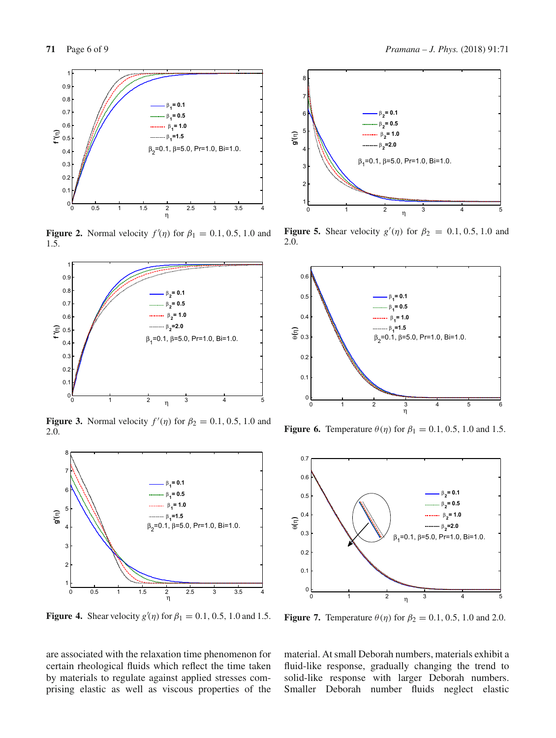

<span id="page-5-0"></span>**Figure 2.** Normal velocity  $f'(\eta)$  for  $\beta_1 = 0.1, 0.5, 1.0$  and 1.5.



<span id="page-5-1"></span>**Figure 3.** Normal velocity  $f'(\eta)$  for  $\beta_2 = 0.1, 0.5, 1.0$  and 2.0.



<span id="page-5-2"></span>**Figure 4.** Shear velocity  $g'(\eta)$  for  $\beta_1 = 0.1, 0.5, 1.0$  and 1.5.

are associated with the relaxation time phenomenon for certain rheological fluids which reflect the time taken by materials to regulate against applied stresses comprising elastic as well as viscous properties of the



<span id="page-5-3"></span>**Figure 5.** Shear velocity  $g'(\eta)$  for  $\beta_2 = 0.1, 0.5, 1.0$  and 2.0.



<span id="page-5-4"></span>**Figure 6.** Temperature  $\theta(\eta)$  for  $\beta_1 = 0.1, 0.5, 1.0$  and 1.5.



<span id="page-5-5"></span>**Figure 7.** Temperature  $\theta(\eta)$  for  $\beta_2 = 0.1, 0.5, 1.0$  and 2.0.

material. At small Deborah numbers, materials exhibit a fluid-like response, gradually changing the trend to solid-like response with larger Deborah numbers. Smaller Deborah number fluids neglect elastic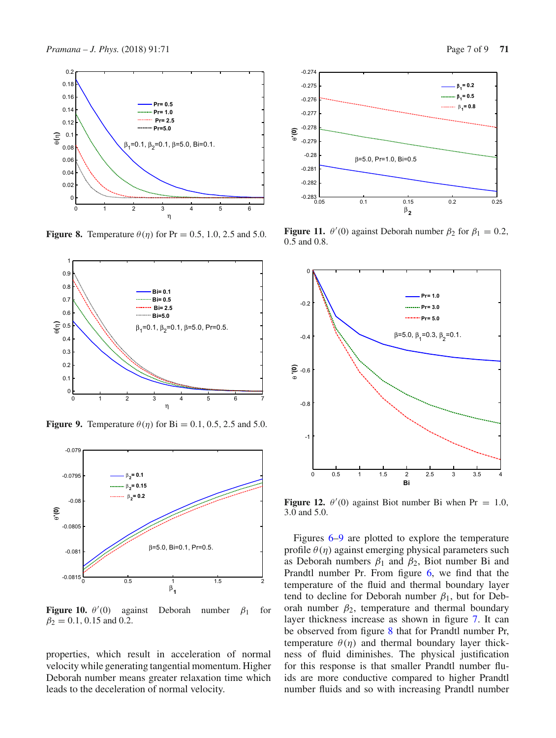

<span id="page-6-1"></span>**Figure 8.** Temperature  $\theta(\eta)$  for Pr = 0.5, 1.0, 2.5 and 5.0.



<span id="page-6-0"></span>**Figure 9.** Temperature  $\theta(\eta)$  for Bi = 0.1, 0.5, 2.5 and 5.0.



<span id="page-6-2"></span>**Figure 10.**  $\theta'(0)$ against Deborah number  $\beta_1$  for  $\beta_2 = 0.1, 0.15$  and 0.2.

properties, which result in acceleration of normal velocity while generating tangential momentum. Higher Deborah number means greater relaxation time which leads to the deceleration of normal velocity.



<span id="page-6-3"></span>**Figure 11.**  $\theta'(0)$  against Deborah number  $\beta_2$  for  $\beta_1 = 0.2$ , 0.5 and 0.8.



<span id="page-6-4"></span>**Figure 12.**  $\theta'(0)$  against Biot number Bi when Pr = 1.0, 3.0 and 5.0.

Figures [6](#page-5-4)[–9](#page-6-0) are plotted to explore the temperature profile  $\theta(\eta)$  against emerging physical parameters such as Deborah numbers  $\beta_1$  and  $\beta_2$ , Biot number Bi and Prandtl number Pr. From figure [6,](#page-5-4) we find that the temperature of the fluid and thermal boundary layer tend to decline for Deborah number  $\beta_1$ , but for Deborah number  $\beta_2$ , temperature and thermal boundary layer thickness increase as shown in figure [7.](#page-5-5) It can be observed from figure [8](#page-6-1) that for Prandtl number Pr, temperature  $\theta(\eta)$  and thermal boundary layer thickness of fluid diminishes. The physical justification for this response is that smaller Prandtl number fluids are more conductive compared to higher Prandtl number fluids and so with increasing Prandtl number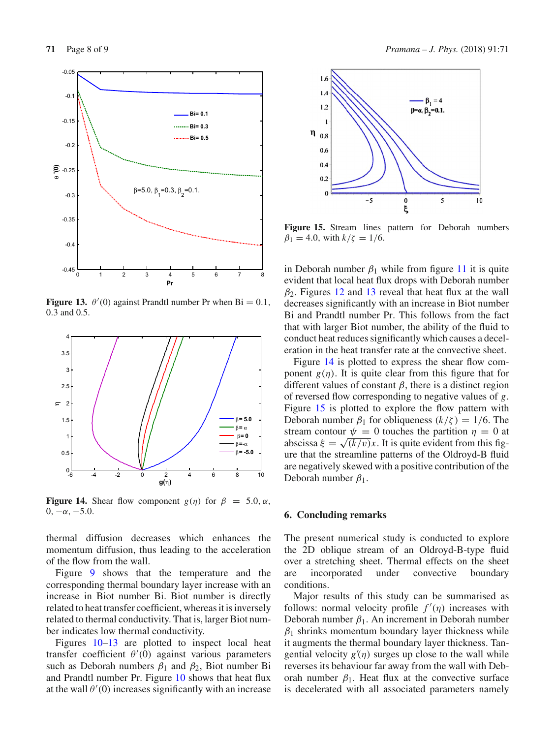

<span id="page-7-1"></span>**Figure 13.**  $\theta'(0)$  against Prandtl number Pr when Bi = 0.1, 0.3 and 0.5.



<span id="page-7-2"></span>**Figure 14.** Shear flow component  $g(\eta)$  for  $\beta = 5.0, \alpha$ ,  $0, -\alpha, -5.0.$ 

thermal diffusion decreases which enhances the momentum diffusion, thus leading to the acceleration of the flow from the wall.

Figure [9](#page-6-0) shows that the temperature and the corresponding thermal boundary layer increase with an increase in Biot number Bi. Biot number is directly related to heat transfer coefficient, whereas it is inversely related to thermal conductivity. That is, larger Biot number indicates low thermal conductivity.

Figures [10–](#page-6-2)[13](#page-7-1) are plotted to inspect local heat transfer coefficient  $\theta'(0)$  against various parameters such as Deborah numbers  $\beta_1$  and  $\beta_2$ , Biot number Bi and Prandtl number Pr. Figure [10](#page-6-2) shows that heat flux at the wall  $\theta'(0)$  increases significantly with an increase



<span id="page-7-0"></span>**Figure 15.** Stream lines pattern for Deborah numbers  $\beta_1 = 4.0$ , with  $k/\zeta = 1/6$ .

in Deborah number  $\beta_1$  while from figure [11](#page-6-3) it is quite evident that local heat flux drops with Deborah number  $\beta_2$ . Figures [12](#page-6-4) and [13](#page-7-1) reveal that heat flux at the wall decreases significantly with an increase in Biot number Bi and Prandtl number Pr. This follows from the fact that with larger Biot number, the ability of the fluid to conduct heat reduces significantly which causes a deceleration in the heat transfer rate at the convective sheet.

Figure [14](#page-7-2) is plotted to express the shear flow component  $g(\eta)$ . It is quite clear from this figure that for different values of constant  $\beta$ , there is a distinct region of reversed flow corresponding to negative values of *g*. Figure [15](#page-7-0) is plotted to explore the flow pattern with Deborah number  $\beta_1$  for obliqueness  $(k/\zeta) = 1/6$ . The stream contour  $\psi = 0$  touches the partition  $\eta = 0$  at abscissa  $\xi = \sqrt{(k/v)}x$ . It is quite evident from this figure that the streamline patterns of the Oldroyd-B fluid are negatively skewed with a positive contribution of the Deborah number  $\beta_1$ .

## **6. Concluding remarks**

The present numerical study is conducted to explore the 2D oblique stream of an Oldroyd-B-type fluid over a stretching sheet. Thermal effects on the sheet are incorporated under convective boundary conditions.

Major results of this study can be summarised as follows: normal velocity profile  $f'(\eta)$  increases with Deborah number  $\beta_1$ . An increment in Deborah number  $\beta_1$  shrinks momentum boundary layer thickness while it augments the thermal boundary layer thickness. Tangential velocity  $g'(\eta)$  surges up close to the wall while reverses its behaviour far away from the wall with Deborah number  $\beta_1$ . Heat flux at the convective surface is decelerated with all associated parameters namely